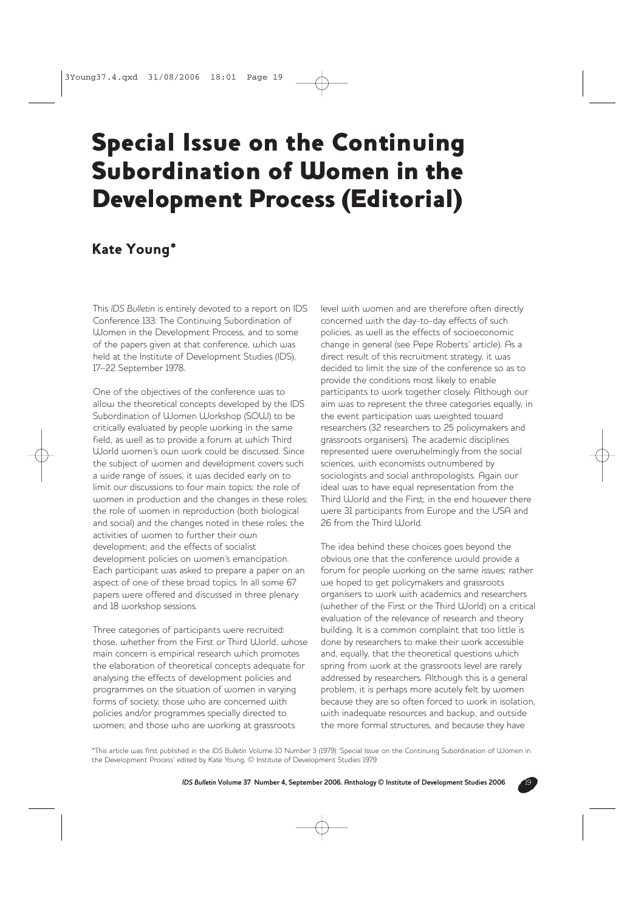## Special Issue on the Continuing Subordination of Women in the Development Process (Editorial)

## Kate Young\*

This *IDS Bulletin* is entirely devoted to a report on IDS Conference 133: The Continuing Subordination of Women in the Development Process, and to some of the papers given at that conference, which was held at the Institute of Development Studies (IDS), 17–22 September 1978.

One of the objectives of the conference was to allow the theoretical concepts developed by the IDS Subordination of Women Workshop (SOW) to be critically evaluated by people working in the same field, as well as to provide a forum at which Third World women's own work could be discussed. Since the subject of women and development covers such a wide range of issues, it was decided early on to limit our discussions to four main topics: the role of women in production and the changes in these roles; the role of women in reproduction (both biological and social) and the changes noted in these roles; the activities of women to further their own development; and the effects of socialist development policies on women's emancipation. Each participant was asked to prepare a paper on an aspect of one of these broad topics. In all some 67 papers were offered and discussed in three plenary and 18 workshop sessions.

Three categories of participants were recruited: those, whether from the First or Third World, whose main concern is empirical research which promotes the elaboration of theoretical concepts adequate for analysing the effects of development policies and programmes on the situation of women in varying forms of society; those who are concerned with policies and/or programmes specially directed to women; and those who are working at grassroots

level with women and are therefore often directly concerned with the day-to-day effects of such policies, as well as the effects of socioeconomic change in general (see Pepe Roberts' article). As a direct result of this recruitment strategy, it was decided to limit the size of the conference so as to provide the conditions most likely to enable participants to work together closely. Although our aim was to represent the three categories equally, in the event participation was weighted toward researchers (32 researchers to 25 policymakers and grassroots organisers). The academic disciplines represented were overwhelmingly from the social sciences, with economists outnumbered by sociologists and social anthropologists. Again our ideal was to have equal representation from the Third World and the First; in the end however there were 31 participants from Europe and the USA and 26 from the Third World.

The idea behind these choices goes beyond the obvious one that the conference would provide a forum for people working on the same issues; rather we hoped to get policymakers and grassroots organisers to work with academics and researchers (whether of the First or the Third World) on a critical evaluation of the relevance of research and theory building. It is a common complaint that too little is done by researchers to make their work accessible and, equally, that the theoretical questions which spring from work at the grassroots level are rarely addressed by researchers. Although this is a general problem, it is perhaps more acutely felt by women because they are so often forced to work in isolation, with inadequate resources and backup, and outside the more formal structures, and because they have

\*This article was first published in the *IDS Bulletin* Volume 10 Number 3 (1979) 'Special Issue on the Continuing Subordination of Women in the Development Process' edited by Kate Young. © Institute of Development Studies 1979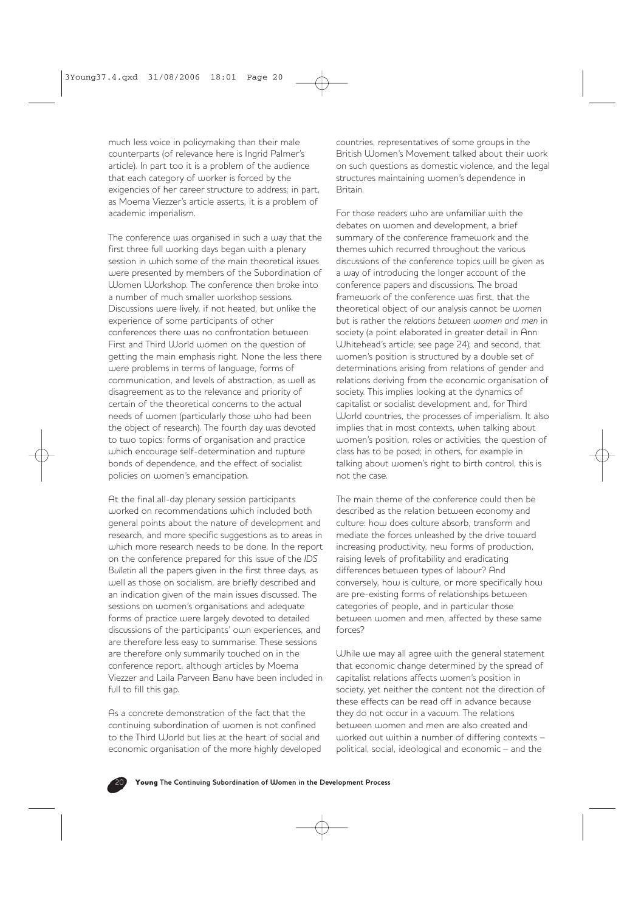much less voice in policymaking than their male counterparts (of relevance here is Ingrid Palmer's article). In part too it is a problem of the audience that each category of worker is forced by the exigencies of her career structure to address; in part, as Moema Viezzer's article asserts, it is a problem of academic imperialism.

The conference was organised in such a way that the first three full working days began with a plenary session in which some of the main theoretical issues were presented by members of the Subordination of Women Workshop. The conference then broke into a number of much smaller workshop sessions. Discussions were lively, if not heated, but unlike the experience of some participants of other conferences there was no confrontation between First and Third World women on the question of getting the main emphasis right. None the less there were problems in terms of language, forms of communication, and levels of abstraction, as well as disagreement as to the relevance and priority of certain of the theoretical concerns to the actual needs of women (particularly those who had been the object of research). The fourth day was devoted to two topics: forms of organisation and practice which encourage self-determination and rupture bonds of dependence, and the effect of socialist policies on women's emancipation.

At the final all-day plenary session participants worked on recommendations which included both general points about the nature of development and research, and more specific suggestions as to areas in which more research needs to be done. In the report on the conference prepared for this issue of the *IDS Bulletin* all the papers given in the first three days, as well as those on socialism, are briefly described and an indication given of the main issues discussed. The sessions on women's organisations and adequate forms of practice were largely devoted to detailed discussions of the participants' own experiences, and are therefore less easy to summarise. These sessions are therefore only summarily touched on in the conference report, although articles by Moema Viezzer and Laila Parveen Banu have been included in full to fill this gap.

As a concrete demonstration of the fact that the continuing subordination of women is not confined to the Third World but lies at the heart of social and economic organisation of the more highly developed countries, representatives of some groups in the British Women's Movement talked about their work on such questions as domestic violence, and the legal structures maintaining women's dependence in Britain.

For those readers who are unfamiliar with the debates on women and development, a brief summary of the conference framework and the themes which recurred throughout the various discussions of the conference topics will be given as a way of introducing the longer account of the conference papers and discussions. The broad framework of the conference was first, that the theoretical object of our analysis cannot be *women* but is rather the *relations between women and men* in society (a point elaborated in greater detail in Ann Whitehead's article; see page 24); and second, that women's position is structured by a double set of determinations arising from relations of gender and relations deriving from the economic organisation of society. This implies looking at the dynamics of capitalist or socialist development and, for Third World countries, the processes of imperialism. It also implies that in most contexts, when talking about women's position, roles or activities, the question of class has to be posed; in others, for example in talking about women's right to birth control, this is not the case.

The main theme of the conference could then be described as the relation between economy and culture: how does culture absorb, transform and mediate the forces unleashed by the drive toward increasing productivity, new forms of production, raising levels of profitability and eradicating differences between types of labour? And conversely, how is culture, or more specifically how are pre-existing forms of relationships between categories of people, and in particular those between women and men, affected by these same forces?

While we may all agree with the general statement that economic change determined by the spread of capitalist relations affects women's position in society, yet neither the content not the direction of these effects can be read off in advance because they do not occur in a vacuum. The relations between women and men are also created and worked out within a number of differing contexts – political, social, ideological and economic – and the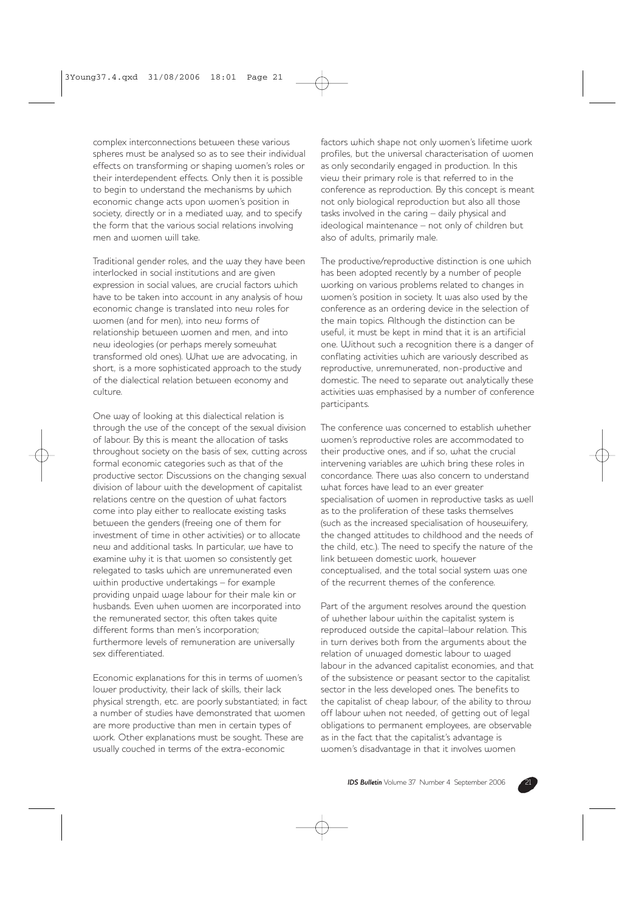complex interconnections between these various spheres must be analysed so as to see their individual effects on transforming or shaping women's roles or their interdependent effects. Only then it is possible to begin to understand the mechanisms by which economic change acts upon women's position in society, directly or in a mediated way, and to specify the form that the various social relations involving men and women will take.

Traditional gender roles, and the way they have been interlocked in social institutions and are given expression in social values, are crucial factors which have to be taken into account in any analysis of how economic change is translated into new roles for women (and for men), into new forms of relationship between women and men, and into new ideologies (or perhaps merely somewhat transformed old ones). What we are advocating, in short, is a more sophisticated approach to the study of the dialectical relation between economy and culture.

One way of looking at this dialectical relation is through the use of the concept of the sexual division of labour. By this is meant the allocation of tasks throughout society on the basis of sex, cutting across formal economic categories such as that of the productive sector. Discussions on the changing sexual division of labour with the development of capitalist relations centre on the question of what factors come into play either to reallocate existing tasks between the genders (freeing one of them for investment of time in other activities) or to allocate new and additional tasks. In particular, we have to examine why it is that women so consistently get relegated to tasks which are unremunerated even within productive undertakings – for example providing unpaid wage labour for their male kin or husbands. Even when women are incorporated into the remunerated sector, this often takes quite different forms than men's incorporation; furthermore levels of remuneration are universally sex differentiated.

Economic explanations for this in terms of women's lower productivity, their lack of skills, their lack physical strength, etc. are poorly substantiated; in fact a number of studies have demonstrated that women are more productive than men in certain types of work. Other explanations must be sought. These are usually couched in terms of the extra-economic

factors which shape not only women's lifetime work profiles, but the universal characterisation of women as only secondarily engaged in production. In this view their primary role is that referred to in the conference as reproduction. By this concept is meant not only biological reproduction but also all those tasks involved in the caring – daily physical and ideological maintenance – not only of children but also of adults, primarily male.

The productive/reproductive distinction is one which has been adopted recently by a number of people working on various problems related to changes in women's position in society. It was also used by the conference as an ordering device in the selection of the main topics. Although the distinction can be useful, it must be kept in mind that it is an artificial one. Without such a recognition there is a danger of conflating activities which are variously described as reproductive, unremunerated, non-productive and domestic. The need to separate out analytically these activities was emphasised by a number of conference participants.

The conference was concerned to establish whether women's reproductive roles are accommodated to their productive ones, and if so, what the crucial intervening variables are which bring these roles in concordance. There was also concern to understand what forces have lead to an ever greater specialisation of women in reproductive tasks as well as to the proliferation of these tasks themselves (such as the increased specialisation of housewifery, the changed attitudes to childhood and the needs of the child, etc.). The need to specify the nature of the link between domestic work, however conceptualised, and the total social system was one of the recurrent themes of the conference.

Part of the argument resolves around the question of whether labour within the capitalist system is reproduced outside the capital–labour relation. This in turn derives both from the arguments about the relation of unwaged domestic labour to waged labour in the advanced capitalist economies, and that of the subsistence or peasant sector to the capitalist sector in the less developed ones. The benefits to the capitalist of cheap labour, of the ability to throw off labour when not needed, of getting out of legal obligations to permanent employees, are observable as in the fact that the capitalist's advantage is women's disadvantage in that it involves women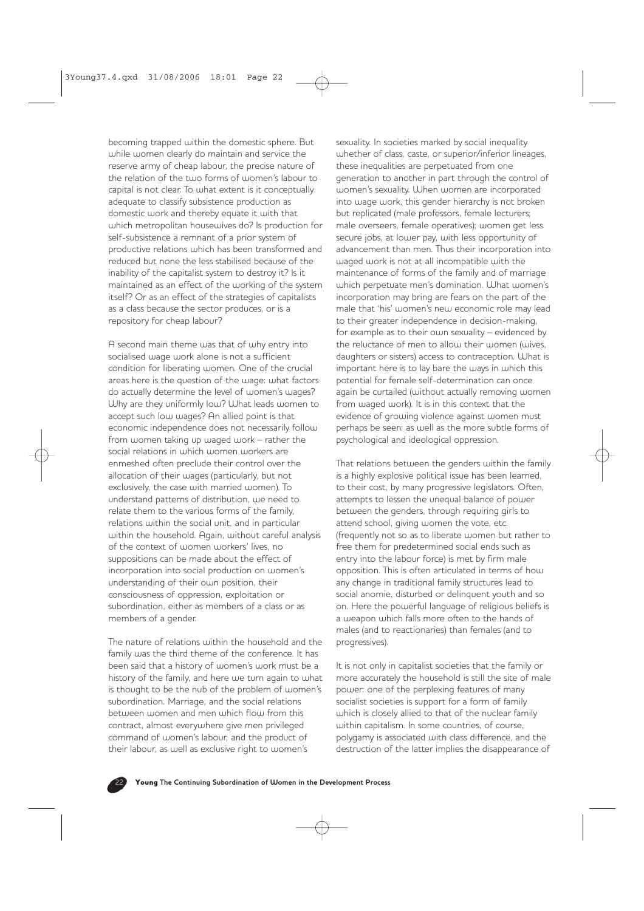becoming trapped within the domestic sphere. But while women clearly do maintain and service the reserve army of cheap labour, the precise nature of the relation of the two forms of women's labour to capital is not clear. To what extent is it conceptually adequate to classify subsistence production as domestic work and thereby equate it with that which metropolitan housewives do? Is production for self-subsistence a remnant of a prior system of productive relations which has been transformed and reduced but none the less stabilised because of the inability of the capitalist system to destroy it? Is it maintained as an effect of the working of the system itself? Or as an effect of the strategies of capitalists as a class because the sector produces, or is a repository for cheap labour?

A second main theme was that of why entry into socialised wage work alone is not a sufficient condition for liberating women. One of the crucial areas here is the question of the wage: what factors do actually determine the level of women's wages? Why are they uniformly low? What leads women to accept such low wages? An allied point is that economic independence does not necessarily follow from women taking up waged work – rather the social relations in which women workers are enmeshed often preclude their control over the allocation of their wages (particularly, but not exclusively, the case with married women). To understand patterns of distribution, we need to relate them to the various forms of the family, relations within the social unit, and in particular within the household. Again, without careful analysis of the context of women workers' lives, no suppositions can be made about the effect of incorporation into social production on women's understanding of their own position, their consciousness of oppression, exploitation or subordination, either as members of a class or as members of a gender.

The nature of relations within the household and the family was the third theme of the conference. It has been said that a history of women's work must be a history of the family, and here we turn again to what is thought to be the nub of the problem of women's subordination. Marriage, and the social relations between women and men which flow from this contract, almost everywhere give men privileged command of women's labour, and the product of their labour, as well as exclusive right to women's

sexuality. In societies marked by social inequality whether of class, caste, or superior/inferior lineages, these inequalities are perpetuated from one generation to another in part through the control of women's sexuality. When women are incorporated into wage work, this gender hierarchy is not broken but replicated (male professors, female lecturers; male overseers, female operatives); women get less secure jobs, at lower pay, with less opportunity of advancement than men. Thus their incorporation into waged work is not at all incompatible with the maintenance of forms of the family and of marriage which perpetuate men's domination. What women's incorporation may bring are fears on the part of the male that 'his' women's new economic role may lead to their greater independence in decision-making, for example as to their own sexuality – evidenced by the reluctance of men to allow their women (wives, daughters or sisters) access to contraception. What is important here is to lay bare the ways in which this potential for female self-determination can once again be curtailed (without actually removing women from waged work). It is in this context that the evidence of growing violence against women must perhaps be seen: as well as the more subtle forms of psychological and ideological oppression.

That relations between the genders within the family is a highly explosive political issue has been learned, to their cost, by many progressive legislators. Often, attempts to lessen the unequal balance of power between the genders, through requiring girls to attend school, giving women the vote, etc. (frequently not so as to liberate women but rather to free them for predetermined social ends such as entry into the labour force) is met by firm male opposition. This is often articulated in terms of how any change in traditional family structures lead to social anomie, disturbed or delinquent youth and so on. Here the powerful language of religious beliefs is a weapon which falls more often to the hands of males (and to reactionaries) than females (and to progressives).

It is not only in capitalist societies that the family or more accurately the household is still the site of male power: one of the perplexing features of many socialist societies is support for a form of family which is closely allied to that of the nuclear family within capitalism. In some countries, of course, polygamy is associated with class difference, and the destruction of the latter implies the disappearance of